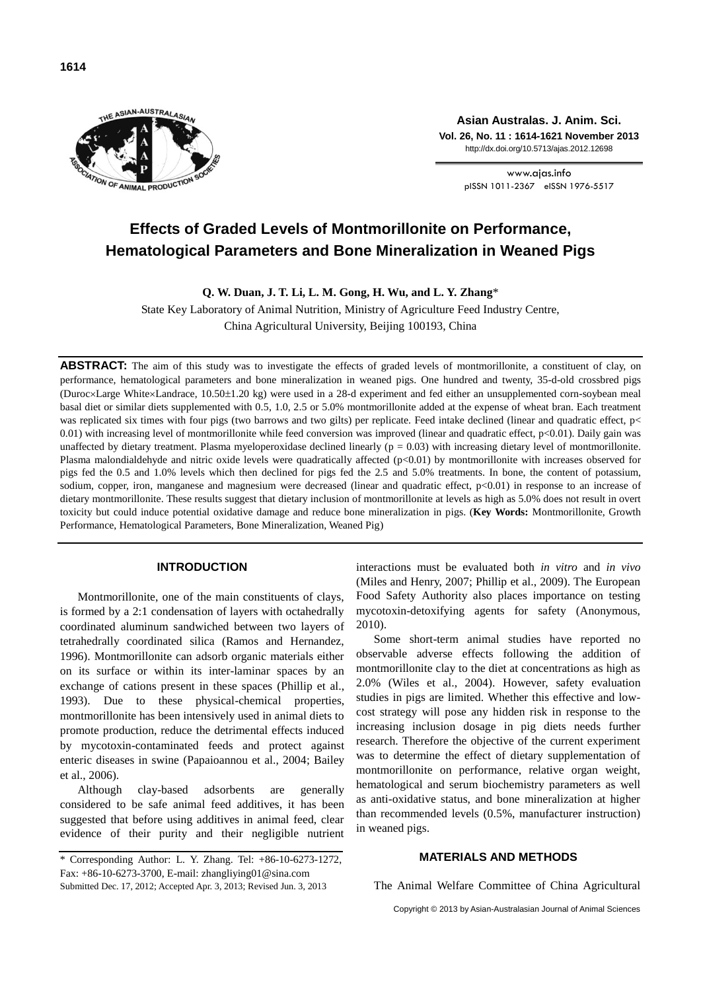

**Asian Australas. J. Anim. Sci. Vol. 26, No. 11 : 1614-1621 November 2013** http://dx.doi.org/10.5713/ajas.2012.12698

> www.ajas.info pISSN 1011-2367 eISSN 1976-5517

# **Effects of Graded Levels of Montmorillonite on Performance, Hematological Parameters and Bone Mineralization in Weaned Pigs**

**Q. W. Duan, J. T. Li, L. M. Gong, H. Wu, and L. Y. Zhang**\*

State Key Laboratory of Animal Nutrition, Ministry of Agriculture Feed Industry Centre, China Agricultural University, Beijing 100193, China

ABSTRACT: The aim of this study was to investigate the effects of graded levels of montmorillonite, a constituent of clay, on performance, hematological parameters and bone mineralization in weaned pigs. One hundred and twenty, 35-d-old crossbred pigs (Duroc×Large White×Landrace, 10.50 $\pm$ 1.20 kg) were used in a 28-d experiment and fed either an unsupplemented corn-soybean meal basal diet or similar diets supplemented with 0.5, 1.0, 2.5 or 5.0% montmorillonite added at the expense of wheat bran. Each treatment was replicated six times with four pigs (two barrows and two gilts) per replicate. Feed intake declined (linear and quadratic effect, p< 0.01) with increasing level of montmorillonite while feed conversion was improved (linear and quadratic effect, p<0.01). Daily gain was unaffected by dietary treatment. Plasma myeloperoxidase declined linearly ( $p = 0.03$ ) with increasing dietary level of montmorillonite. Plasma malondialdehyde and nitric oxide levels were quadratically affected  $(p<0.01)$  by montmorillonite with increases observed for pigs fed the 0.5 and 1.0% levels which then declined for pigs fed the 2.5 and 5.0% treatments. In bone, the content of potassium, sodium, copper, iron, manganese and magnesium were decreased (linear and quadratic effect,  $p<0.01$ ) in response to an increase of dietary montmorillonite. These results suggest that dietary inclusion of montmorillonite at levels as high as 5.0% does not result in overt toxicity but could induce potential oxidative damage and reduce bone mineralization in pigs. (**Key Words:** Montmorillonite, Growth Performance, Hematological Parameters, Bone Mineralization, Weaned Pig)

# **INTRODUCTION**

Montmorillonite, one of the main constituents of clays, is formed by a 2:1 condensation of layers with octahedrally coordinated aluminum sandwiched between two layers of tetrahedrally coordinated silica (Ramos and Hernandez, 1996). Montmorillonite can adsorb organic materials either on its surface or within its inter-laminar spaces by an exchange of cations present in these spaces (Phillip et al., 1993). Due to these physical-chemical properties, montmorillonite has been intensively used in animal diets to promote production, reduce the detrimental effects induced by mycotoxin-contaminated feeds and protect against enteric diseases in swine (Papaioannou et al., 2004; Bailey et al., 2006).

Although clay-based adsorbents are generally considered to be safe animal feed additives, it has been suggested that before using additives in animal feed, clear evidence of their purity and their negligible nutrient

interactions must be evaluated both *in vitro* and *in vivo* (Miles and Henry, 2007; Phillip et al., 2009). The European Food Safety Authority also places importance on testing mycotoxin-detoxifying agents for safety (Anonymous, 2010).

Some short-term animal studies have reported no observable adverse effects following the addition of montmorillonite clay to the diet at concentrations as high as 2.0% (Wiles et al., 2004). However, safety evaluation studies in pigs are limited. Whether this effective and lowcost strategy will pose any hidden risk in response to the increasing inclusion dosage in pig diets needs further research. Therefore the objective of the current experiment was to determine the effect of dietary supplementation of montmorillonite on performance, relative organ weight, hematological and serum biochemistry parameters as well as anti-oxidative status, and bone mineralization at higher than recommended levels (0.5%, manufacturer instruction) in weaned pigs.

## **MATERIALS AND METHODS**

The Animal Welfare Committee of China Agricultural

Copyright © 2013 by Asian-Australasian Journal of Animal Sciences

<sup>\*</sup> Corresponding Author: L. Y. Zhang. Tel: +86-10-6273-1272, Fax: +86-10-6273-3700, E-mail: zhangliying01@sina.com Submitted Dec. 17, 2012; Accepted Apr. 3, 2013; Revised Jun. 3, 2013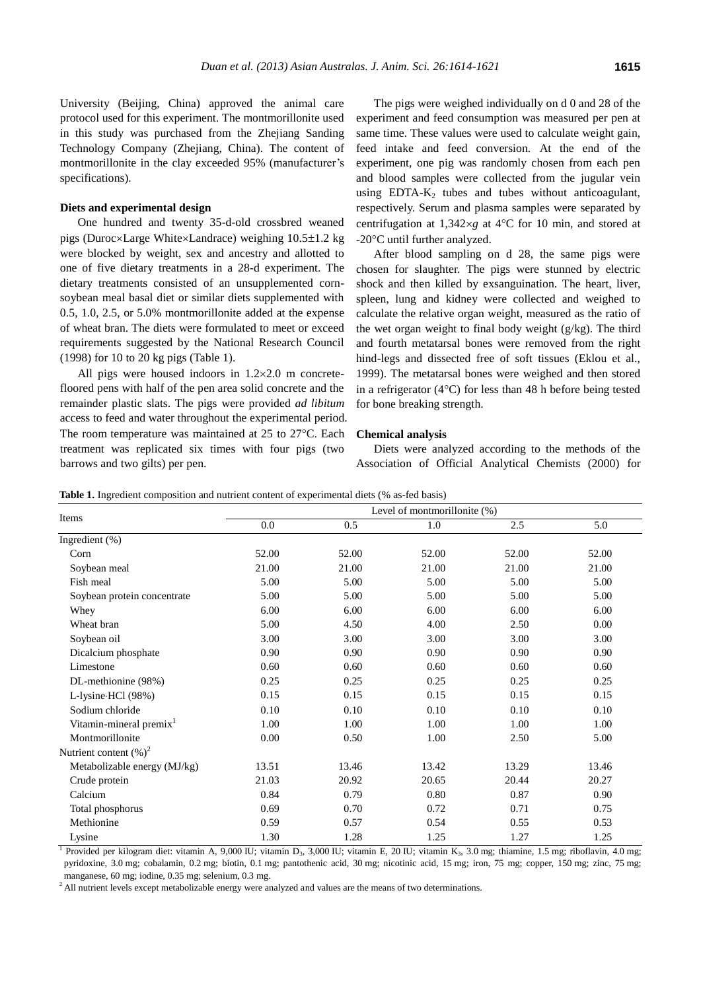University (Beijing, China) approved the animal care protocol used for this experiment. The montmorillonite used in this study was purchased from the Zhejiang Sanding Technology Company (Zhejiang, China). The content of montmorillonite in the clay exceeded 95% (manufacturer's specifications).

#### **Diets and experimental design**

One hundred and twenty 35-d-old crossbred weaned pigs (Duroc×Large White×Landrace) weighing 10.5±1.2 kg were blocked by weight, sex and ancestry and allotted to one of five dietary treatments in a 28-d experiment. The dietary treatments consisted of an unsupplemented cornsoybean meal basal diet or similar diets supplemented with 0.5, 1.0, 2.5, or 5.0% montmorillonite added at the expense of wheat bran. The diets were formulated to meet or exceed requirements suggested by the National Research Council (1998) for 10 to 20 kg pigs (Table 1).

All pigs were housed indoors in  $1.2 \times 2.0$  m concretefloored pens with half of the pen area solid concrete and the remainder plastic slats. The pigs were provided *ad libitum* access to feed and water throughout the experimental period. The room temperature was maintained at  $25$  to  $27^{\circ}$ C. Each treatment was replicated six times with four pigs (two barrows and two gilts) per pen.

The pigs were weighed individually on d 0 and 28 of the experiment and feed consumption was measured per pen at same time. These values were used to calculate weight gain, feed intake and feed conversion. At the end of the experiment, one pig was randomly chosen from each pen and blood samples were collected from the jugular vein using  $EDTA-K<sub>2</sub>$  tubes and tubes without anticoagulant, respectively. Serum and plasma samples were separated by centrifugation at  $1,342 \times g$  at  $4^{\circ}$ C for 10 min, and stored at -20°C until further analyzed.

After blood sampling on d 28, the same pigs were chosen for slaughter. The pigs were stunned by electric shock and then killed by exsanguination. The heart, liver, spleen, lung and kidney were collected and weighed to calculate the relative organ weight, measured as the ratio of the wet organ weight to final body weight (g/kg). The third and fourth metatarsal bones were removed from the right hind-legs and dissected free of soft tissues (Eklou et al., 1999). The metatarsal bones were weighed and then stored in a refrigerator  $(4^{\circ}C)$  for less than 48 h before being tested for bone breaking strength.

#### **Chemical analysis**

Diets were analyzed according to the methods of the Association of Official Analytical Chemists (2000) for

|                                     |       |       | Level of montmorillonite (%) |       |                  |
|-------------------------------------|-------|-------|------------------------------|-------|------------------|
| Items                               | 0.0   | 0.5   | 1.0                          | 2.5   | $\overline{5.0}$ |
| Ingredient (%)                      |       |       |                              |       |                  |
| Corn                                | 52.00 | 52.00 | 52.00                        | 52.00 | 52.00            |
| Soybean meal                        | 21.00 | 21.00 | 21.00                        | 21.00 | 21.00            |
| Fish meal                           | 5.00  | 5.00  | 5.00                         | 5.00  | 5.00             |
| Soybean protein concentrate         | 5.00  | 5.00  | 5.00                         | 5.00  | 5.00             |
| Whey                                | 6.00  | 6.00  | 6.00                         | 6.00  | 6.00             |
| Wheat bran                          | 5.00  | 4.50  | 4.00                         | 2.50  | 0.00             |
| Soybean oil                         | 3.00  | 3.00  | 3.00                         | 3.00  | 3.00             |
| Dicalcium phosphate                 | 0.90  | 0.90  | 0.90                         | 0.90  | 0.90             |
| Limestone                           | 0.60  | 0.60  | 0.60                         | 0.60  | 0.60             |
| DL-methionine (98%)                 | 0.25  | 0.25  | 0.25                         | 0.25  | 0.25             |
| L-lysine·HCl (98%)                  | 0.15  | 0.15  | 0.15                         | 0.15  | 0.15             |
| Sodium chloride                     | 0.10  | 0.10  | 0.10                         | 0.10  | 0.10             |
| Vitamin-mineral premix <sup>1</sup> | 1.00  | 1.00  | 1.00                         | 1.00  | 1.00             |
| Montmorillonite                     | 0.00  | 0.50  | 1.00                         | 2.50  | 5.00             |
| Nutrient content $(\%)^2$           |       |       |                              |       |                  |
| Metabolizable energy (MJ/kg)        | 13.51 | 13.46 | 13.42                        | 13.29 | 13.46            |
| Crude protein                       | 21.03 | 20.92 | 20.65                        | 20.44 | 20.27            |
| Calcium                             | 0.84  | 0.79  | 0.80                         | 0.87  | 0.90             |
| Total phosphorus                    | 0.69  | 0.70  | 0.72                         | 0.71  | 0.75             |
| Methionine                          | 0.59  | 0.57  | 0.54                         | 0.55  | 0.53             |
| Lysine                              | 1.30  | 1.28  | 1.25                         | 1.27  | 1.25             |

Table 1. Ingredient composition and nutrient content of experimental diets (% as-fed basis)

<sup>1</sup> Provided per kilogram diet: vitamin A, 9,000 IU; vitamin D<sub>3</sub>, 3,000 IU; vitamin E, 20 IU; vitamin K<sub>3</sub>, 3.0 mg; thiamine, 1.5 mg; riboflavin, 4.0 mg; pyridoxine, 3.0 mg; cobalamin, 0.2 mg; biotin, 0.1 mg; pantothenic acid, 30 mg; nicotinic acid, 15 mg; iron, 75 mg; copper, 150 mg; zinc, 75 mg; manganese, 60 mg; iodine, 0.35 mg; selenium, 0.3 mg.

<sup>2</sup> All nutrient levels except metabolizable energy were analyzed and values are the means of two determinations.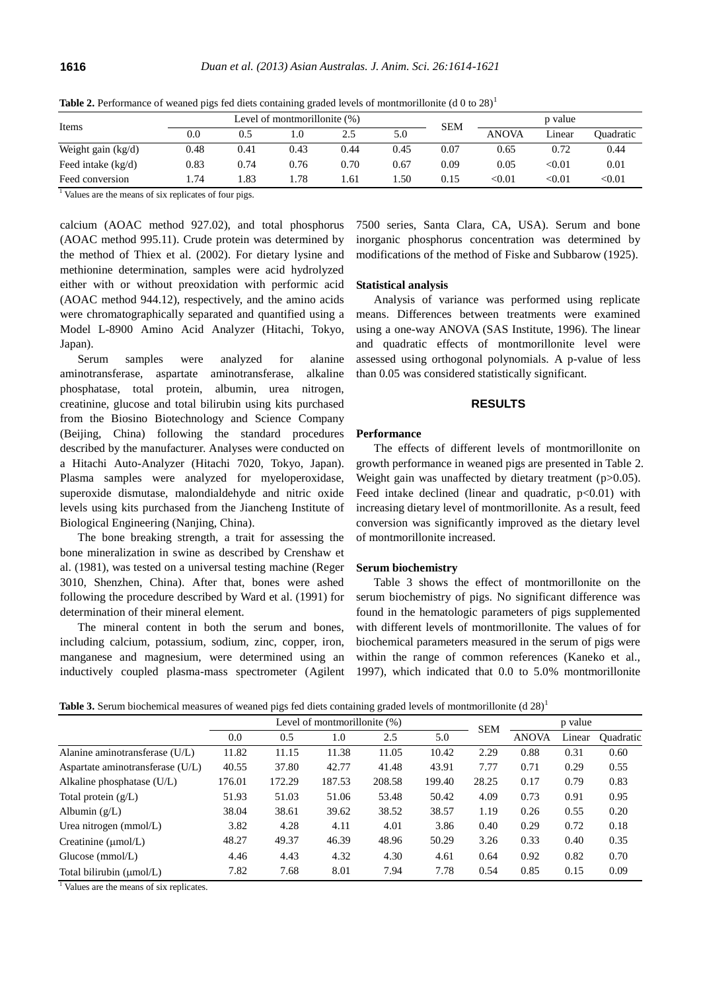| Items<br>Weight gain (kg/d) |      |      | Level of montmorillonite (%) |      | <b>SEM</b> |      | p value      |               |               |
|-----------------------------|------|------|------------------------------|------|------------|------|--------------|---------------|---------------|
|                             | 0.0  | 0.5  | .0                           |      | 5.0        |      | <b>ANOVA</b> | Linear        | Ouadratic     |
|                             | 0.48 | 0.41 | 0.43                         | 0.44 | 0.45       | 0.07 | 0.65         | 0.72          | 0.44          |
| Feed intake $(kg/d)$        | 0.83 | 0.74 | 0.76                         | 0.70 | 0.67       | 0.09 | 0.05         | $< \!\! 0.01$ | 0.01          |
| Feed conversion             | .74  | .83  | .78                          | .61  | .50        | 0.15 | <0.01        | $< \!\! 0.01$ | $< \!\! 0.01$ |

**Table 2.** Performance of weaned pigs fed diets containing graded levels of montmorillonite (d 0 to 28)<sup>1</sup>

<sup>1</sup> Values are the means of six replicates of four pigs.

calcium (AOAC method 927.02), and total phosphorus (AOAC method 995.11). Crude protein was determined by the method of Thiex et al. (2002). For dietary lysine and methionine determination, samples were acid hydrolyzed either with or without preoxidation with performic acid (AOAC method 944.12), respectively, and the amino acids were chromatographically separated and quantified using a Model L-8900 Amino Acid Analyzer (Hitachi, Tokyo, Japan).

Serum samples were analyzed for alanine aminotransferase, aspartate aminotransferase, alkaline phosphatase, total protein, albumin, urea nitrogen, creatinine, glucose and total bilirubin using kits purchased from the Biosino Biotechnology and Science Company (Beijing, China) following the standard procedures described by the manufacturer. Analyses were conducted on a Hitachi Auto-Analyzer (Hitachi 7020, Tokyo, Japan). Plasma samples were analyzed for myeloperoxidase, superoxide dismutase, malondialdehyde and nitric oxide levels using kits purchased from the Jiancheng Institute of Biological Engineering (Nanjing, China).

The bone breaking strength, a trait for assessing the bone mineralization in swine as described by Crenshaw et al. (1981), was tested on a universal testing machine (Reger 3010, Shenzhen, China). After that, bones were ashed following the procedure described by Ward et al. (1991) for determination of their mineral element.

The mineral content in both the serum and bones, including calcium, potassium, sodium, zinc, copper, iron, manganese and magnesium, were determined using an inductively coupled plasma-mass spectrometer [\(Agilent](dict://key.0895DFE8DB67F9409DB285590D870EDD/Agilent) 7500 series, Santa Clara, CA, USA). Serum and bone inorganic phosphorus concentration was determined by modifications of the method of Fiske and Subbarow (1925).

#### **Statistical analysis**

Analysis of variance was performed using replicate means. Differences between treatments were examined using a one-way ANOVA (SAS Institute, 1996). The linear and quadratic effects of montmorillonite level were assessed using orthogonal polynomials. A p-value of less than 0.05 was considered statistically significant.

#### **RESULTS**

## **Performance**

The effects of different levels of montmorillonite on growth performance in weaned pigs are presented in Table 2. Weight gain was unaffected by dietary treatment (p>0.05). Feed intake declined (linear and quadratic,  $p<0.01$ ) with increasing dietary level of montmorillonite. As a result, feed conversion was significantly improved as the dietary level of montmorillonite increased.

#### **Serum biochemistry**

Table 3 shows the effect of montmorillonite on the serum biochemistry of pigs. No significant difference was found in the hematologic parameters of pigs supplemented with different levels of montmorillonite. The values of for biochemical parameters measured in the serum of pigs were within the range of common references (Kaneko et al., 1997), which indicated that 0.0 to 5.0% montmorillonite

**Table 3.** Serum biochemical measures of weaned pigs fed diets containing graded levels of montmorillonite (d 28)<sup>1</sup>

|                                  |        | Level of montmorillonite (%) | <b>SEM</b> | p value |        |       |              |        |           |
|----------------------------------|--------|------------------------------|------------|---------|--------|-------|--------------|--------|-----------|
|                                  | 0.0    | 0.5                          | 1.0        | 2.5     | 5.0    |       | <b>ANOVA</b> | Linear | Ouadratic |
| Alanine aminotransferase (U/L)   | 11.82  | 11.15                        | 11.38      | 11.05   | 10.42  | 2.29  | 0.88         | 0.31   | 0.60      |
| Aspartate aminotransferase (U/L) | 40.55  | 37.80                        | 42.77      | 41.48   | 43.91  | 7.77  | 0.71         | 0.29   | 0.55      |
| Alkaline phosphatase $(U/L)$     | 176.01 | 172.29                       | 187.53     | 208.58  | 199.40 | 28.25 | 0.17         | 0.79   | 0.83      |
| Total protein $(g/L)$            | 51.93  | 51.03                        | 51.06      | 53.48   | 50.42  | 4.09  | 0.73         | 0.91   | 0.95      |
| Albumin $(g/L)$                  | 38.04  | 38.61                        | 39.62      | 38.52   | 38.57  | 1.19  | 0.26         | 0.55   | 0.20      |
| Urea nitrogen $(mmol/L)$         | 3.82   | 4.28                         | 4.11       | 4.01    | 3.86   | 0.40  | 0.29         | 0.72   | 0.18      |
| Creatinine $(\mu \text{mol/L})$  | 48.27  | 49.37                        | 46.39      | 48.96   | 50.29  | 3.26  | 0.33         | 0.40   | 0.35      |
| Glucose $(mmol/L)$               | 4.46   | 4.43                         | 4.32       | 4.30    | 4.61   | 0.64  | 0.92         | 0.82   | 0.70      |
| Total bilirubin (umol/L)         | 7.82   | 7.68                         | 8.01       | 7.94    | 7.78   | 0.54  | 0.85         | 0.15   | 0.09      |

<sup>1</sup> Values are the means of six replicates.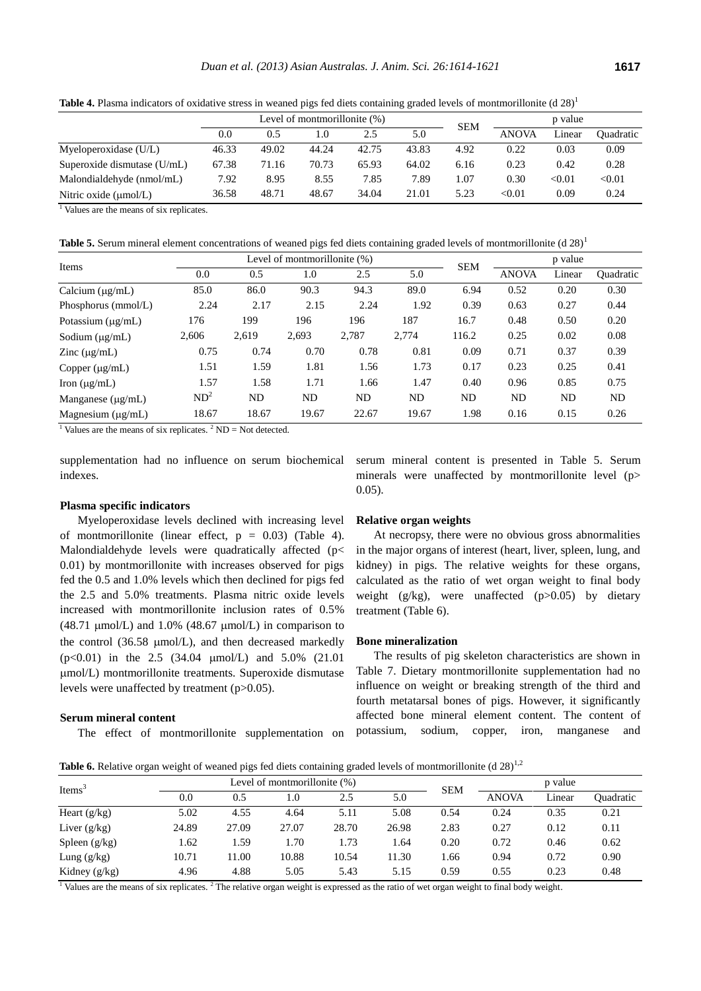| <b>Table 4.</b> Plasma indicators of oxidative stress in weaned pigs fed diets containing graded levels of montmorillonite (d $28)^1$ |           |                                 |  |     |       |         |       |
|---------------------------------------------------------------------------------------------------------------------------------------|-----------|---------------------------------|--|-----|-------|---------|-------|
|                                                                                                                                       |           | Level of montmorillonite $(\%)$ |  | SEM |       | p value |       |
|                                                                                                                                       | $\rm 0.0$ |                                 |  |     | ANOVA | Linear  | Ouadı |

|                             |       |       |       |       |       | <b>SEM</b> | --------     |        |           |
|-----------------------------|-------|-------|-------|-------|-------|------------|--------------|--------|-----------|
|                             | 0.0   | 0.5   | 1.0   | 2.5   | 5.0   |            | <b>ANOVA</b> | Linear | Ouadratic |
| Myeloperoxidase (U/L)       | 46.33 | 49.02 | 44.24 | 42.75 | 43.83 | 4.92       | 0.22         | 0.03   | 0.09      |
| Superoxide dismutase (U/mL) | 67.38 | 71.16 | 70.73 | 65.93 | 64.02 | 6.16       | 0.23         | 0.42   | 0.28      |
| Malondialdehyde (nmol/mL)   | 7.92  | 8.95  | 8.55  | 7.85  | 7.89  | 1.07       | 0.30         | < 0.01 | < 0.01    |
| Nitric oxide (umol/L)       | 36.58 | 48.71 | 48.67 | 34.04 | 21.01 | 5.23       | < 0.01       | 0.09   | 0.24      |

 $\frac{1}{1}$  Values are the means of six replicates.

**Table 5.** Serum mineral element concentrations of weaned pigs fed diets containing graded levels of montmorillonite (d 28)<sup>1</sup>

| Level of montmorillonite (%)<br>p value<br><b>SEM</b><br>Items<br>0.0<br>5.0<br><b>ANOVA</b><br>Linear<br>2.5<br>0.5<br>1.0<br>89.0<br>85.0<br>90.3<br>94.3<br>0.20<br>86.0<br>6.94<br>0.52<br>Calcium $(\mu g/mL)$<br>2.17<br>2.24<br>1.92<br>0.39<br>0.27<br>2.24<br>2.15<br>0.63<br>Phosphorus (mmol/L)<br>196<br>187<br>16.7<br>0.50<br>176<br>199<br>196<br>0.48<br>Potassium $(\mu g/mL)$<br>2.787<br>0.02<br>2.619<br>2,693<br>2.774<br>116.2<br>2,606<br>0.25<br>Sodium $(\mu g/mL)$<br>0.37<br>0.75<br>0.74<br>0.70<br>0.78<br>0.81<br>0.09<br>0.71<br>$\text{Zinc}$ ( $\mu\text{g/mL}$ )<br>1.59<br>1.81<br>0.25<br>1.51<br>1.56<br>1.73<br>0.17<br>0.23<br>Copper $(\mu g/mL)$ |                  |                  |       |       |       |      |      |      |      |  |
|-------------------------------------------------------------------------------------------------------------------------------------------------------------------------------------------------------------------------------------------------------------------------------------------------------------------------------------------------------------------------------------------------------------------------------------------------------------------------------------------------------------------------------------------------------------------------------------------------------------------------------------------------------------------------------------------|------------------|------------------|-------|-------|-------|------|------|------|------|--|
|                                                                                                                                                                                                                                                                                                                                                                                                                                                                                                                                                                                                                                                                                           | <b>Quadratic</b> |                  |       |       |       |      |      |      |      |  |
|                                                                                                                                                                                                                                                                                                                                                                                                                                                                                                                                                                                                                                                                                           |                  |                  |       |       |       |      |      |      | 0.30 |  |
|                                                                                                                                                                                                                                                                                                                                                                                                                                                                                                                                                                                                                                                                                           |                  |                  |       |       |       |      |      |      | 0.44 |  |
|                                                                                                                                                                                                                                                                                                                                                                                                                                                                                                                                                                                                                                                                                           |                  |                  |       |       |       |      |      |      | 0.20 |  |
|                                                                                                                                                                                                                                                                                                                                                                                                                                                                                                                                                                                                                                                                                           |                  |                  |       |       |       |      |      |      | 0.08 |  |
|                                                                                                                                                                                                                                                                                                                                                                                                                                                                                                                                                                                                                                                                                           |                  |                  |       |       |       |      |      |      | 0.39 |  |
|                                                                                                                                                                                                                                                                                                                                                                                                                                                                                                                                                                                                                                                                                           |                  |                  |       |       |       |      |      |      | 0.41 |  |
| Iron $(\mu g/mL)$                                                                                                                                                                                                                                                                                                                                                                                                                                                                                                                                                                                                                                                                         | 1.57             | 1.58             | 1.71  | 1.66  | 1.47  | 0.40 | 0.96 | 0.85 | 0.75 |  |
| Manganese $(\mu g/mL)$                                                                                                                                                                                                                                                                                                                                                                                                                                                                                                                                                                                                                                                                    | ND <sup>2</sup>  | ND               | ND    | ND    | ND    | ND   | ND   | ND   | ND   |  |
| Magnesium $(\mu g/mL)$<br>$1 - 1$                                                                                                                                                                                                                                                                                                                                                                                                                                                                                                                                                                                                                                                         | 18.67            | 18.67<br>$2 - 2$ | 19.67 | 22.67 | 19.67 | 1.98 | 0.16 | 0.15 | 0.26 |  |

<sup>1</sup> Values are the means of six replicates. <sup>2</sup> ND = Not detected.

supplementation had no influence on serum biochemical indexes.

## **Plasma specific indicators**

Myeloperoxidase levels declined with increasing level of montmorillonite (linear effect,  $p = 0.03$ ) (Table 4). Malondialdehyde levels were quadratically affected (p< 0.01) by montmorillonite with increases observed for pigs fed the 0.5 and 1.0% levels which then declined for pigs fed the 2.5 and 5.0% treatments. Plasma nitric oxide levels increased with montmorillonite inclusion rates of 0.5%  $(48.71 \text{ µmol/L})$  and  $1.0\%$   $(48.67 \text{ µmol/L})$  in comparison to the control  $(36.58 \text{ µmol/L})$ , and then decreased markedly  $(p<0.01)$  in the 2.5 (34.04  $\mu$ mol/L) and 5.0% (21.01 mol/L) montmorillonite treatments. Superoxide dismutase levels were unaffected by treatment (p>0.05).

## **Serum mineral content**

The effect of montmorillonite supplementation on

serum mineral content is presented in Table 5. Serum minerals were unaffected by montmorillonite level (p> 0.05).

## **Relative organ weights**

At necropsy, there were no obvious gross abnormalities in the major organs of interest (heart, liver, spleen, lung, and kidney) in pigs. The relative weights for these organs, calculated as the ratio of wet organ weight to final body weight (g/kg), were unaffected (p>0.05) by dietary treatment (Table 6).

## **Bone mineralization**

The results of pig skeleton characteristics are shown in Table 7. Dietary montmorillonite supplementation had no influence on weight or breaking strength of the third and fourth metatarsal bones of pigs. However, it significantly affected bone mineral element content. The content of potassium, sodium, copper, iron, manganese and

**Table 6.** Relative organ weight of weaned pigs fed diets containing graded levels of montmorillonite (d 28)<sup>1,2</sup>

| Items <sup>3</sup><br>0.0 |       |       | Level of montmorillonite (%) |       | <b>SEM</b> |      | p value      |        |                  |
|---------------------------|-------|-------|------------------------------|-------|------------|------|--------------|--------|------------------|
|                           |       | 0.5   | .0                           | 2.5   | 5.0        |      | <b>ANOVA</b> | Linear | <b>Ouadratic</b> |
| Heart $(g/kg)$            | 5.02  | 4.55  | 4.64                         | 5.11  | 5.08       | 0.54 | 0.24         | 0.35   | 0.21             |
| Liver $(g/kg)$            | 24.89 | 27.09 | 27.07                        | 28.70 | 26.98      | 2.83 | 0.27         | 0.12   | 0.11             |
| Spleen $(g/kg)$           | 1.62  | 1.59  | 1.70                         | 1.73  | 1.64       | 0.20 | 0.72         | 0.46   | 0.62             |
| Lung $(g/kg)$             | 10.71 | 11.00 | 10.88                        | 10.54 | 11.30      | 1.66 | 0.94         | 0.72   | 0.90             |
| Kidney $(g/kg)$           | 4.96  | 4.88  | 5.05                         | 5.43  | 5.15       | 0.59 | 0.55         | 0.23   | 0.48             |

<sup>1</sup> Values are the means of six replicates.<sup>2</sup> The relative organ weight is expressed as the ratio of wet organ weight to final body weight.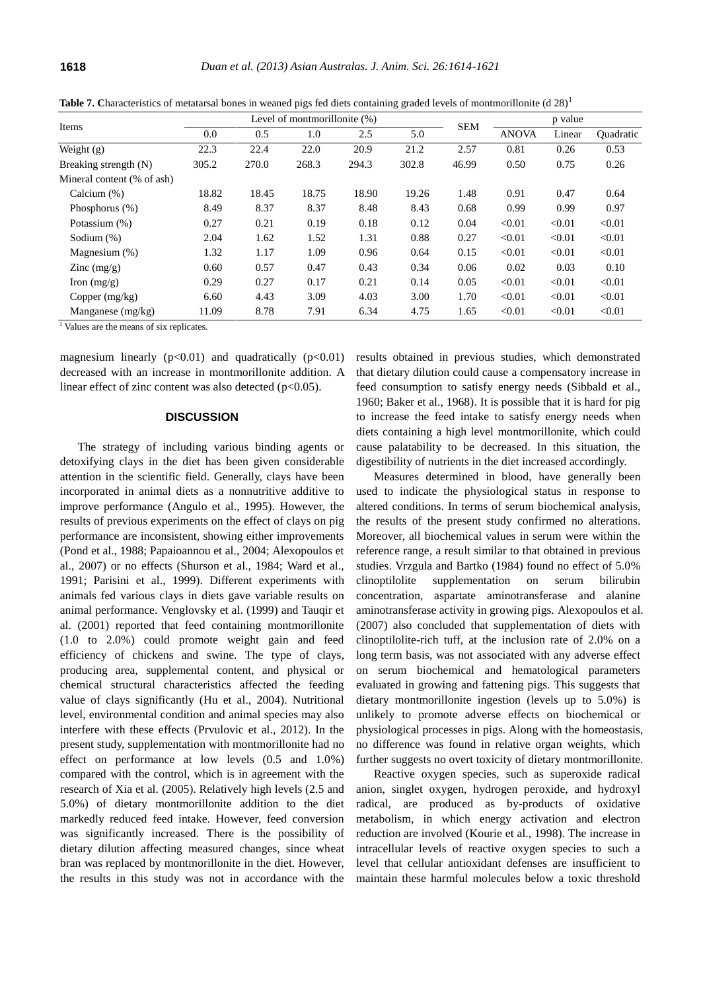|  | <b>Table 7.</b> Characteristics of metatarsal bones in weaned pigs fed diets containing graded levels of montmorillonite (d $28)^1$ |
|--|-------------------------------------------------------------------------------------------------------------------------------------|
|--|-------------------------------------------------------------------------------------------------------------------------------------|

| Items                      |       |       | Level of montmorillonite (%) |       |       | <b>SEM</b> | p value      |        |                  |
|----------------------------|-------|-------|------------------------------|-------|-------|------------|--------------|--------|------------------|
|                            | 0.0   | 0.5   | 1.0                          | 2.5   | 5.0   |            | <b>ANOVA</b> | Linear | <b>Ouadratic</b> |
| Weight (g)                 | 22.3  | 22.4  | 22.0                         | 20.9  | 21.2  | 2.57       | 0.81         | 0.26   | 0.53             |
| Breaking strength (N)      | 305.2 | 270.0 | 268.3                        | 294.3 | 302.8 | 46.99      | 0.50         | 0.75   | 0.26             |
| Mineral content (% of ash) |       |       |                              |       |       |            |              |        |                  |
| Calcium $(\%)$             | 18.82 | 18.45 | 18.75                        | 18.90 | 19.26 | 1.48       | 0.91         | 0.47   | 0.64             |
| Phosphorus (%)             | 8.49  | 8.37  | 8.37                         | 8.48  | 8.43  | 0.68       | 0.99         | 0.99   | 0.97             |
| Potassium (%)              | 0.27  | 0.21  | 0.19                         | 0.18  | 0.12  | 0.04       | < 0.01       | < 0.01 | < 0.01           |
| Sodium $(\%)$              | 2.04  | 1.62  | 1.52                         | 1.31  | 0.88  | 0.27       | < 0.01       | < 0.01 | < 0.01           |
| Magnesium (%)              | 1.32  | 1.17  | 1.09                         | 0.96  | 0.64  | 0.15       | < 0.01       | < 0.01 | < 0.01           |
| Zinc $(mg/g)$              | 0.60  | 0.57  | 0.47                         | 0.43  | 0.34  | 0.06       | 0.02         | 0.03   | 0.10             |
| Iron $(mg/g)$              | 0.29  | 0.27  | 0.17                         | 0.21  | 0.14  | 0.05       | < 0.01       | < 0.01 | < 0.01           |
| Copper $(mg/kg)$           | 6.60  | 4.43  | 3.09                         | 4.03  | 3.00  | 1.70       | < 0.01       | < 0.01 | < 0.01           |
| Manganese $(mg/kg)$        | 11.09 | 8.78  | 7.91                         | 6.34  | 4.75  | 1.65       | < 0.01       | < 0.01 | < 0.01           |

 $\frac{1}{1}$  Values are the means of six replicates.

magnesium linearly  $(p<0.01)$  and quadratically  $(p<0.01)$ decreased with an increase in montmorillonite addition. A linear effect of zinc content was also detected  $(p<0.05)$ .

### **DISCUSSION**

The strategy of including various binding agents or detoxifying clays in the diet has been given considerable attention in the scientific field. Generally, clays have been incorporated in animal diets as a nonnutritive additive to improve performance (Angulo et al., 1995). However, the results of previous experiments on the effect of clays on pig performance are inconsistent, showing either improvements (Pond et al., 1988; Papaioannou et al., 2004; Alexopoulos et al., 2007) or no effects (Shurson et al., 1984; Ward et al., 1991; Parisini et al., 1999). Different experiments with animals fed various clays in diets gave variable results on animal performance. Venglovsky et al. (1999) and Tauqir et al. (2001) reported that feed containing montmorillonite (1.0 to 2.0%) could promote weight gain and feed efficiency of chickens and swine. The type of clays, producing area, supplemental content, and physical or chemical structural characteristics affected the feeding value of clays significantly (Hu et al., 2004). Nutritional level, environmental condition and animal species may also interfere with these effects (Prvulovic et al., 2012). In the present study, supplementation with montmorillonite had no effect on performance at low levels (0.5 and 1.0%) compared with the control, which is in agreement with the research of Xia et al. (2005). Relatively high levels (2.5 and 5.0%) of dietary montmorillonite addition to the diet markedly reduced feed intake. However, feed conversion was significantly increased. There is the possibility of dietary dilution affecting measured changes, since wheat bran was replaced by montmorillonite in the diet. However, the results in this study was not in accordance with the

results obtained in previous studies, which demonstrated that dietary dilution could cause a compensatory increase in feed consumption to satisfy energy needs (Sibbald et al., 1960; Baker et al., 1968). It is possible that it is hard for pig to increase the feed intake to satisfy energy needs when diets containing a high level montmorillonite, which could cause palatability to be decreased. In this situation, the digestibility of nutrients in the diet increased accordingly.

Measures determined in blood, have generally been used to indicate the physiological status in response to altered conditions. In terms of serum biochemical analysis, the results of the present study confirmed no alterations. Moreover, all biochemical values in serum were within the reference range, a result similar to that obtained in previous studies. Vrzgula and Bartko (1984) found no effect of 5.0% clinoptilolite supplementation on serum bilirubin concentration, aspartate aminotransferase and alanine aminotransferase activity in growing pigs. Alexopoulos et al. (2007) also concluded that supplementation of diets with clinoptilolite-rich tuff, at the inclusion rate of 2.0% on a long term basis, was not associated with any adverse effect on serum biochemical and hematological parameters evaluated in growing and fattening pigs. This suggests that dietary montmorillonite ingestion (levels up to 5.0%) is unlikely to promote adverse effects on biochemical or physiological processes in pigs. Along with the homeostasis, no difference was found in relative organ weights, which further suggests no overt toxicity of dietary montmorillonite.

Reactive oxygen species, such as superoxide radical anion, singlet oxygen, hydrogen peroxide, and hydroxyl radical, are produced as by-products of oxidative metabolism, in which energy activation and electron reduction are involved (Kourie et al., 1998). The increase in intracellular levels of reactive oxygen species to such a level that cellular antioxidant defenses are insufficient to maintain these harmful molecules below a toxic threshold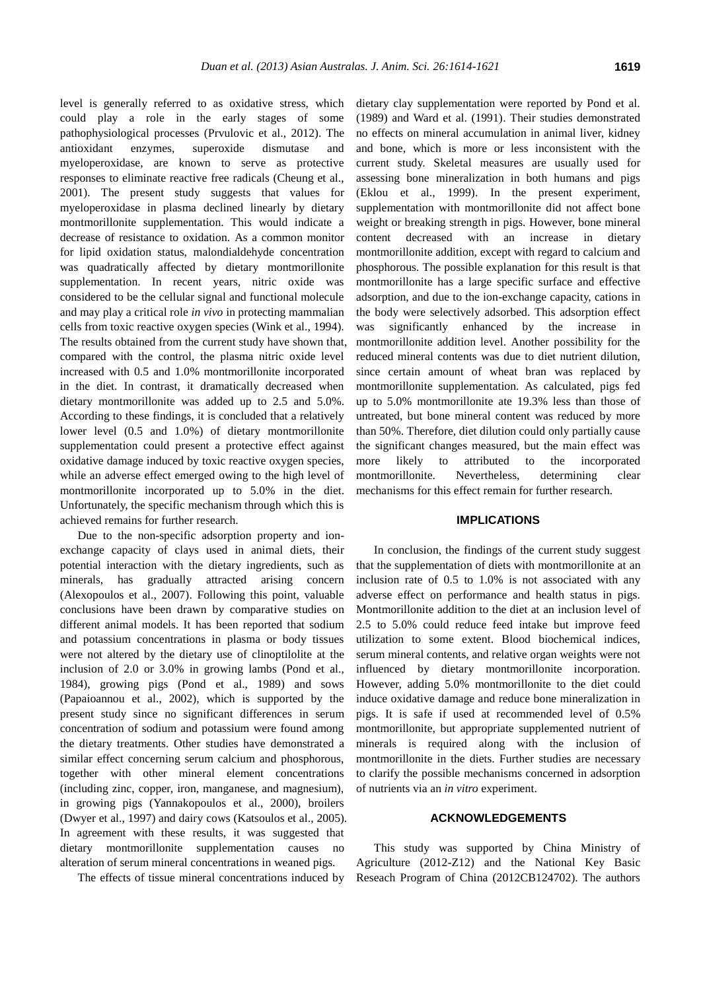level is generally referred to as oxidative stress, which could play a role in the early stages of some pathophysiological processes (Prvulovic et al., 2012). The antioxidant enzymes, superoxide dismutase and myeloperoxidase, are known to serve as protective responses to eliminate reactive free radicals (Cheung et al., 2001). The present study suggests that values for myeloperoxidase in plasma declined linearly by dietary montmorillonite supplementation. This would indicate a decrease of resistance to oxidation. As a common monitor for lipid oxidation status, malondialdehyde concentration was quadratically affected by dietary montmorillonite supplementation. In recent years, nitric oxide was considered to be the cellular signal and functional molecule and may play a critical role *in vivo* in protecting mammalian cells from toxic reactive oxygen species (Wink et al., 1994). The results obtained from the current study have shown that, compared with the control, the plasma nitric oxide level increased with 0.5 and 1.0% montmorillonite incorporated in the diet. In contrast, it dramatically decreased when dietary montmorillonite was added up to 2.5 and 5.0%. According to these findings, it is concluded that a relatively lower level (0.5 and 1.0%) of dietary montmorillonite supplementation could present a protective effect against oxidative damage induced by toxic reactive oxygen species, while an adverse effect emerged owing to the high level of montmorillonite incorporated up to 5.0% in the diet. Unfortunately, the specific mechanism through which this is achieved remains for further research.

Due to the non-specific adsorption property and ionexchange capacity of clays used in animal diets, their potential interaction with the dietary ingredients, such as minerals, has gradually attracted arising concern (Alexopoulos et al., 2007). Following this point, valuable conclusions have been drawn by comparative studies on different animal models. It has been reported that sodium and potassium concentrations in plasma or body tissues were not altered by the dietary use of clinoptilolite at the inclusion of 2.0 or 3.0% in growing lambs (Pond et al., 1984), growing pigs (Pond et al., 1989) and sows (Papaioannou et al., 2002), which is supported by the present study since no significant differences in serum concentration of sodium and potassium were found among the dietary treatments. Other studies have demonstrated a similar effect concerning serum calcium and phosphorous, together with other mineral element concentrations (including zinc, copper, iron, manganese, and magnesium), in growing pigs (Yannakopoulos et al., 2000), broilers (Dwyer et al., 1997) and dairy cows (Katsoulos et al., 2005). In agreement with these results, it was suggested that dietary montmorillonite supplementation causes no alteration of serum mineral concentrations in weaned pigs.

The effects of tissue mineral concentrations induced by

dietary clay supplementation were reported by Pond et al. (1989) and Ward et al. (1991). Their studies demonstrated no effects on mineral accumulation in animal liver, kidney and bone, which is more or less inconsistent with the current study. Skeletal measures are usually used for assessing bone mineralization in both humans and pigs (Eklou et al., 1999). In the present experiment, supplementation with montmorillonite did not affect bone weight or breaking strength in pigs. However, bone mineral content decreased with an increase in dietary montmorillonite addition, except with regard to calcium and phosphorous. The possible explanation for this result is that montmorillonite has a large specific surface and effective adsorption, and due to the ion-exchange capacity, cations in the body were selectively adsorbed. This adsorption effect was significantly enhanced by the increase in montmorillonite addition level. Another possibility for the reduced mineral contents was due to diet nutrient dilution, since certain amount of wheat bran was replaced by montmorillonite supplementation. As calculated, pigs fed up to 5.0% montmorillonite ate 19.3% less than those of untreated, but bone mineral content was reduced by more than 50%. Therefore, diet dilution could only partially cause the significant changes measured, but the main effect was more likely to attributed to the incorporated montmorillonite. Nevertheless, determining clear mechanisms for this effect remain for further research.

## **IMPLICATIONS**

In conclusion, the findings of the current study suggest that the supplementation of diets with montmorillonite at an inclusion rate of 0.5 to 1.0% is not associated with any adverse effect on performance and health status in pigs. Montmorillonite addition to the diet at an inclusion level of 2.5 to 5.0% could reduce feed intake but improve feed utilization to some extent. Blood biochemical indices, serum mineral contents, and relative organ weights were not influenced by dietary montmorillonite incorporation. However, adding 5.0% montmorillonite to the diet could induce oxidative damage and reduce bone mineralization in pigs. It is safe if used at recommended level of 0.5% montmorillonite, but appropriate supplemented nutrient of minerals is required along with the inclusion of montmorillonite in the diets. Further studies are necessary to clarify the possible mechanisms concerned in adsorption of nutrients via an *in vitro* experiment.

#### **ACKNOWLEDGEMENTS**

This study was supported by China Ministry of Agriculture (2012-Z12) and the National Key Basic Reseach Program of China (2012CB124702). The authors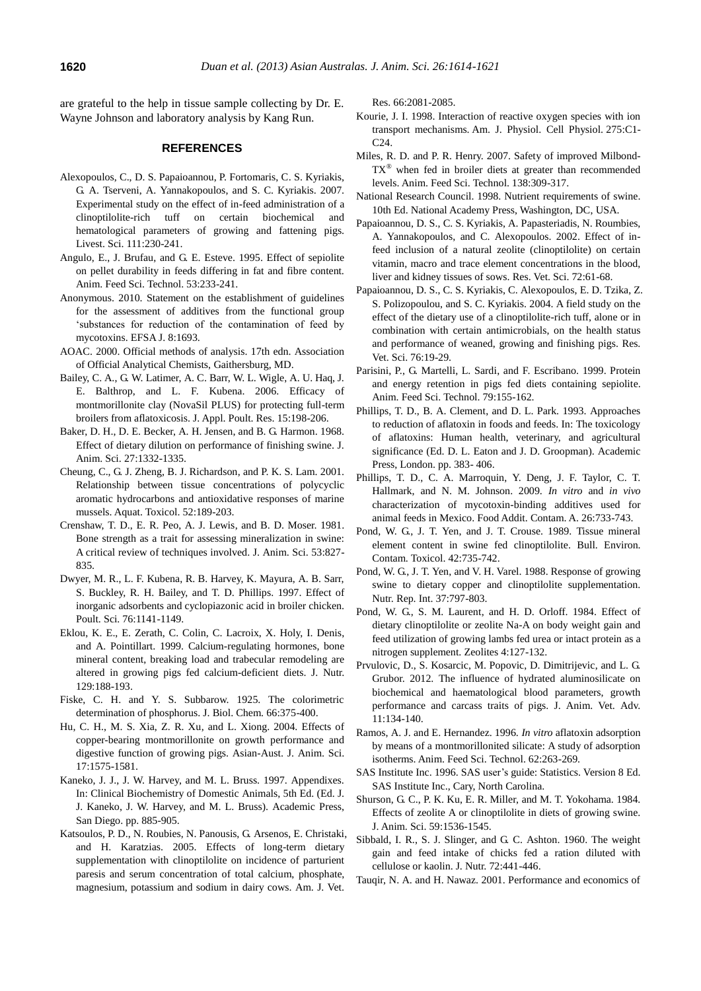are grateful to the help in tissue sample collecting by Dr. E. Wayne Johnson and laboratory analysis by Kang Run.

## **REFERENCES**

- Alexopoulos, C., D. S. Papaioannou, P. Fortomaris, C. S. Kyriakis, G. A. Tserveni, A. Yannakopoulos, and S. C. Kyriakis. 2007. Experimental study on the effect of in-feed administration of a clinoptilolite-rich tuff on certain biochemical and hematological parameters of growing and fattening pigs. Livest. Sci. 111:230-241.
- Angulo, E., J. Brufau, and G. E. Esteve. 1995. Effect of sepiolite on pellet durability in feeds differing in fat and fibre content. Anim. Feed Sci. Technol. 53:233-241.
- Anonymous. 2010. Statement on the establishment of guidelines for the assessment of additives from the functional group 'substances for reduction of the contamination of feed by mycotoxins. EFSA J. 8:1693.
- AOAC. 2000. Official methods of analysis. 17th edn. Association of Official Analytical Chemists, Gaithersburg, MD.
- Bailey, C. A., G. W. Latimer, A. C. Barr, W. L. Wigle, A. U. Haq, J. E. Balthrop, and L. F. Kubena. 2006. Efficacy of montmorillonite clay (NovaSil PLUS) for protecting full-term broilers from aflatoxicosis. J. Appl. Poult. Res. 15:198-206.
- Baker, D. H., D. E. Becker, A. H. Jensen, and B. G. Harmon. 1968. Effect of dietary dilution on performance of finishing swine. J. Anim. Sci. 27:1332-1335.
- Cheung, C., G. J. Zheng, B. J. Richardson, and P. K. S. Lam. 2001. Relationship between tissue concentrations of polycyclic aromatic hydrocarbons and antioxidative responses of marine mussels. Aquat. Toxicol. 52:189-203.
- Crenshaw, T. D., E. R. Peo, A. J. Lewis, and B. D. Moser. 1981. Bone strength as a trait for assessing mineralization in swine: A critical review of techniques involved. J. Anim. Sci. 53:827- 835.
- Dwyer, M. R., L. F. Kubena, R. B. Harvey, K. Mayura, A. B. Sarr, S. Buckley, R. H. Bailey, and T. D. Phillips. 1997. Effect of inorganic adsorbents and cyclopiazonic acid in broiler chicken. Poult. Sci. 76:1141-1149.
- Eklou, K. E., E. Zerath, C. Colin, C. Lacroix, X. Holy, I. Denis, and A. Pointillart. 1999. Calcium-regulating hormones, bone mineral content, breaking load and trabecular remodeling are altered in growing pigs fed calcium-deficient diets. J. Nutr. 129:188-193.
- Fiske, C. H. and Y. S. Subbarow. 1925. The colorimetric determination of phosphorus. J. Biol. Chem. 66:375-400.
- Hu, C. H., M. S. Xia, Z. R. Xu, and L. Xiong. 2004. Effects of copper-bearing montmorillonite on growth performance and digestive function of growing pigs. Asian-Aust. J. Anim. Sci. 17:1575-1581.
- Kaneko, J. J., J. W. Harvey, and M. L. Bruss. 1997. Appendixes. In: Clinical Biochemistry of Domestic Animals, 5th Ed. (Ed. J. J. Kaneko, J. W. Harvey, and M. L. Bruss). Academic Press, San Diego. pp. 885-905.
- Katsoulos, P. D., N. Roubies, N. Panousis, G. Arsenos, E. Christaki, and H. Karatzias. 2005. Effects of long-term dietary supplementation with clinoptilolite on incidence of parturient paresis and serum concentration of total calcium, phosphate, magnesium, potassium and sodium in dairy cows. Am. J. Vet.

Res. 66:2081-2085.

- Kourie, J. I. 1998. Interaction of reactive oxygen species with ion transport mechanisms. Am. J. Physiol. Cell Physiol. 275:C1- C<sub>24</sub>
- Miles, R. D. and P. R. Henry. 2007. Safety of improved Milbond- $TX^{\otimes}$  when fed in broiler diets at greater than recommended levels. Anim. Feed Sci. Technol. 138:309-317.
- National Research Council. 1998. Nutrient requirements of swine. 10th Ed. National Academy Press, Washington, DC, USA.
- Papaioannou, D. S., C. S. Kyriakis, A. Papasteriadis, N. Roumbies, A. Yannakopoulos, and C. Alexopoulos. 2002. Effect of infeed inclusion of a natural zeolite (clinoptilolite) on certain vitamin, macro and trace element concentrations in the blood, liver and kidney tissues of sows. Res. Vet. Sci. 72:61-68.
- Papaioannou, D. S., C. S. Kyriakis, C. Alexopoulos, E. D. Tzika, Z. S. Polizopoulou, and S. C. Kyriakis. 2004. A field study on the effect of the dietary use of a clinoptilolite-rich tuff, alone or in combination with certain antimicrobials, on the health status and performance of weaned, growing and finishing pigs. Res. Vet. Sci. 76:19-29.
- Parisini, P., G. Martelli, L. Sardi, and F. Escribano. 1999. Protein and energy retention in pigs fed diets containing sepiolite. Anim. Feed Sci. Technol. 79:155-162.
- Phillips, T. D., B. A. Clement, and D. L. Park. 1993. Approaches to reduction of aflatoxin in foods and feeds. In: The toxicology of aflatoxins: Human health, veterinary, and agricultural significance (Ed. D. L. Eaton and J. D. Groopman). Academic Press, London. pp. 383- 406.
- Phillips, T. D., C. A. Marroquin, Y. Deng, J. F. Taylor, C. T. Hallmark, and N. M. Johnson. 2009. *In vitro* and *in vivo* characterization of mycotoxin-binding additives used for animal feeds in Mexico. Food Addit. Contam. A. 26:733-743.
- Pond, W. G., J. T. Yen, and J. T. Crouse. 1989. Tissue mineral element content in swine fed clinoptilolite. Bull. Environ. Contam. Toxicol. 42:735-742.
- Pond, W. G., J. T. Yen, and V. H. Varel. 1988. Response of growing swine to dietary copper and clinoptilolite supplementation. Nutr. Rep. Int. 37:797-803.
- Pond, W. G., S. M. Laurent, and H. D. Orloff. 1984. Effect of dietary clinoptilolite or zeolite Na-A on body weight gain and feed utilization of growing lambs fed urea or intact protein as a nitrogen supplement. Zeolites 4:127-132.
- Prvulovic, D., S. Kosarcic, M. Popovic, D. Dimitrijevic, and L. G. Grubor. 2012. The influence of hydrated aluminosilicate on biochemical and haematological blood parameters, growth performance and carcass traits of pigs. J. Anim. Vet. Adv. 11:134-140.
- Ramos, A. J. and E. Hernandez. 1996. *In vitro* aflatoxin adsorption by means of a montmorillonited silicate: A study of adsorption isotherms. Anim. Feed Sci. Technol. 62:263-269.
- SAS Institute Inc. 1996. SAS user's guide: Statistics. Version 8 Ed. SAS Institute Inc., Cary, North Carolina.
- Shurson, G. C., P. K. Ku, E. R. Miller, and M. T. Yokohama. 1984. Effects of zeolite A or clinoptilolite in diets of growing swine. J. Anim. Sci. 59:1536-1545.
- Sibbald, I. R., S. J. Slinger, and G. C. Ashton. 1960. The weight gain and feed intake of chicks fed a ration diluted with cellulose or kaolin. J. Nutr. 72:441-446.
- Tauqir, N. A. and H. Nawaz. 2001. Performance and economics of